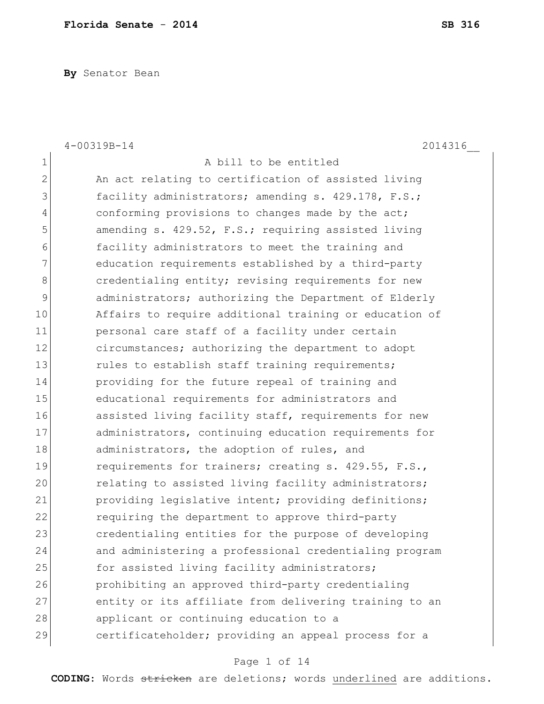**By** Senator Bean

|                | $4 - 00319B - 14$<br>2014316                           |
|----------------|--------------------------------------------------------|
| $\mathbf 1$    | A bill to be entitled                                  |
| $\overline{2}$ | An act relating to certification of assisted living    |
| 3              | facility administrators; amending s. 429.178, F.S.;    |
| 4              | conforming provisions to changes made by the act;      |
| 5              | amending s. 429.52, F.S.; requiring assisted living    |
| 6              | facility administrators to meet the training and       |
| 7              | education requirements established by a third-party    |
| 8              | credentialing entity; revising requirements for new    |
| 9              | administrators; authorizing the Department of Elderly  |
| 10             | Affairs to require additional training or education of |
| 11             | personal care staff of a facility under certain        |
| 12             | circumstances; authorizing the department to adopt     |
| 13             | rules to establish staff training requirements;        |
| 14             | providing for the future repeal of training and        |
| 15             | educational requirements for administrators and        |
| 16             | assisted living facility staff, requirements for new   |
| 17             | administrators, continuing education requirements for  |
| 18             | administrators, the adoption of rules, and             |
| 19             | requirements for trainers; creating s. 429.55, F.S.,   |
| 20             | relating to assisted living facility administrators;   |
| 21             | providing legislative intent; providing definitions;   |
| 22             | requiring the department to approve third-party        |
| 23             | credentialing entities for the purpose of developing   |
| 24             | and administering a professional credentialing program |
| 25             | for assisted living facility administrators;           |
| 26             | prohibiting an approved third-party credentialing      |
| 27             | entity or its affiliate from delivering training to an |
| 28             | applicant or continuing education to a                 |
| 29             | certificateholder; providing an appeal process for a   |

# Page 1 of 14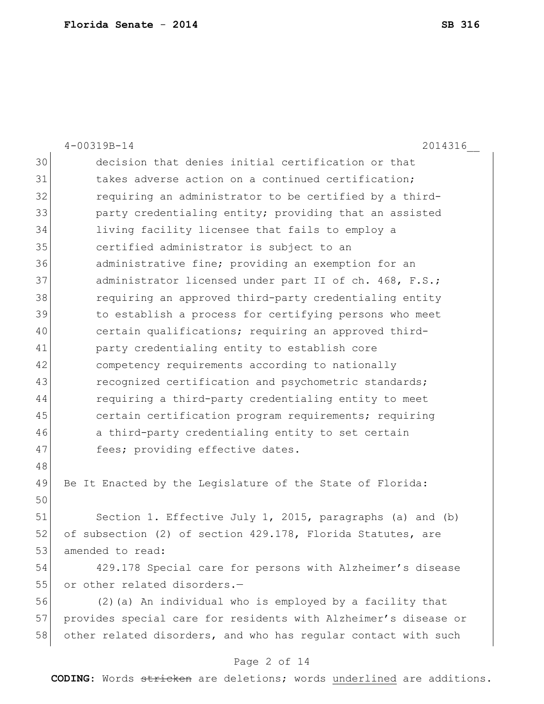|    | $4 - 00319B - 14$<br>2014316                                    |
|----|-----------------------------------------------------------------|
| 30 | decision that denies initial certification or that              |
| 31 | takes adverse action on a continued certification;              |
| 32 | requiring an administrator to be certified by a third-          |
| 33 | party credentialing entity; providing that an assisted          |
| 34 | living facility licensee that fails to employ a                 |
| 35 | certified administrator is subject to an                        |
| 36 | administrative fine; providing an exemption for an              |
| 37 | administrator licensed under part II of ch. 468, F.S.;          |
| 38 | requiring an approved third-party credentialing entity          |
| 39 | to establish a process for certifying persons who meet          |
| 40 | certain qualifications; requiring an approved third-            |
| 41 | party credentialing entity to establish core                    |
| 42 | competency requirements according to nationally                 |
| 43 | recognized certification and psychometric standards;            |
| 44 | requiring a third-party credentialing entity to meet            |
| 45 | certain certification program requirements; requiring           |
| 46 | a third-party credentialing entity to set certain               |
| 47 | fees; providing effective dates.                                |
| 48 |                                                                 |
| 49 | Be It Enacted by the Legislature of the State of Florida:       |
| 50 |                                                                 |
| 51 | Section 1. Effective July 1, 2015, paragraphs (a) and (b)       |
| 52 | of subsection (2) of section 429.178, Florida Statutes, are     |
| 53 | amended to read:                                                |
| 54 | 429.178 Special care for persons with Alzheimer's disease       |
| 55 | or other related disorders.-                                    |
| 56 | (2) (a) An individual who is employed by a facility that        |
| 57 | provides special care for residents with Alzheimer's disease or |
| 58 | other related disorders, and who has regular contact with such  |

# Page 2 of 14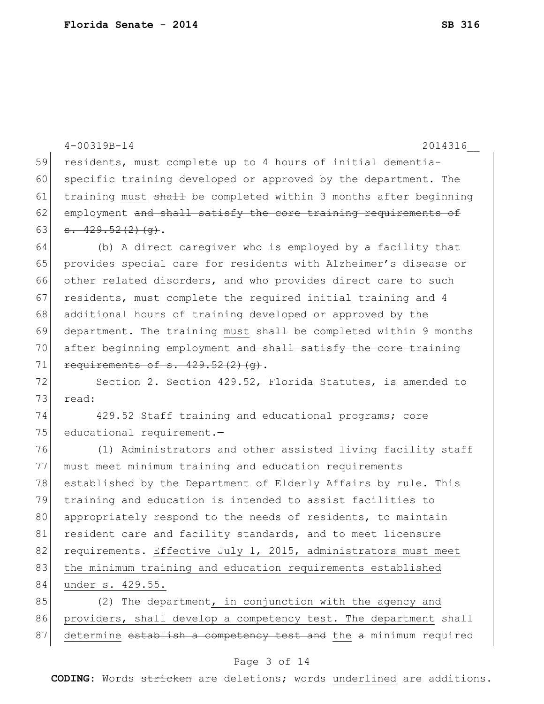|    | $4 - 00319B - 14$<br>2014316                                     |
|----|------------------------------------------------------------------|
| 59 | residents, must complete up to 4 hours of initial dementia-      |
| 60 | specific training developed or approved by the department. The   |
| 61 | training must shall be completed within 3 months after beginning |
| 62 | employment and shall satisfy the core training requirements of   |
| 63 | $-429.52(2)(q)$ .                                                |
| 64 | (b) A direct caregiver who is employed by a facility that        |
| 65 | provides special care for residents with Alzheimer's disease or  |
| 66 | other related disorders, and who provides direct care to such    |
| 67 | residents, must complete the required initial training and 4     |
| 68 | additional hours of training developed or approved by the        |
| 69 | department. The training must shall be completed within 9 months |
| 70 | after beginning employment and shall satisfy the core training   |
| 71 | requirements of s. $429.52(2)(q)$ .                              |
| 72 | Section 2. Section 429.52, Florida Statutes, is amended to       |
| 73 | read:                                                            |
| 74 | 429.52 Staff training and educational programs; core             |
| 75 | educational requirement.-                                        |
| 76 | (1) Administrators and other assisted living facility staff      |
| 77 | must meet minimum training and education requirements            |
| 78 | established by the Department of Elderly Affairs by rule. This   |
| 79 | training and education is intended to assist facilities to       |
| 80 | appropriately respond to the needs of residents, to maintain     |
| 81 | resident care and facility standards, and to meet licensure      |
| 82 | requirements. Effective July 1, 2015, administrators must meet   |
| 83 | the minimum training and education requirements established      |
| 84 | under s. 429.55.                                                 |
| 85 | (2) The department, in conjunction with the agency and           |
| 86 | providers, shall develop a competency test. The department shall |
| 87 | determine establish a competency test and the a minimum required |

# Page 3 of 14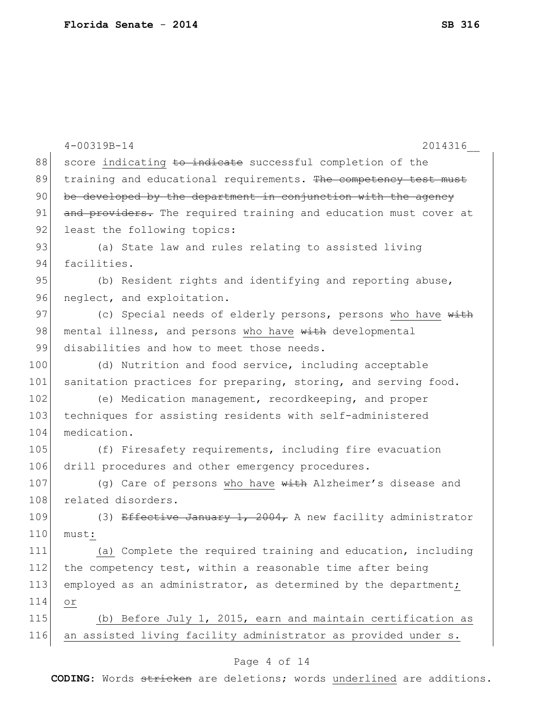|     | $4 - 00319B - 14$<br>2014316                                     |
|-----|------------------------------------------------------------------|
| 88  | score indicating to indicate successful completion of the        |
| 89  | training and educational requirements. The competency test must  |
| 90  | be developed by the department in conjunction with the agency    |
| 91  | and providers. The required training and education must cover at |
| 92  | least the following topics:                                      |
| 93  | (a) State law and rules relating to assisted living              |
| 94  | facilities.                                                      |
| 95  | (b) Resident rights and identifying and reporting abuse,         |
| 96  | neglect, and exploitation.                                       |
| 97  | (c) Special needs of elderly persons, persons who have with      |
| 98  | mental illness, and persons who have with developmental          |
| 99  | disabilities and how to meet those needs.                        |
| 100 | (d) Nutrition and food service, including acceptable             |
| 101 | sanitation practices for preparing, storing, and serving food.   |
| 102 | (e) Medication management, recordkeeping, and proper             |
| 103 | techniques for assisting residents with self-administered        |
| 104 | medication.                                                      |
| 105 | (f) Firesafety requirements, including fire evacuation           |
| 106 | drill procedures and other emergency procedures.                 |
| 107 | (g) Care of persons who have with Alzheimer's disease and        |
| 108 | related disorders.                                               |
| 109 | (3) Effective January 1, 2004, A new facility administrator      |
| 110 | must:                                                            |
| 111 | (a) Complete the required training and education, including      |
| 112 | the competency test, within a reasonable time after being        |
| 113 | employed as an administrator, as determined by the department;   |
| 114 | Оr                                                               |
| 115 | (b) Before July 1, 2015, earn and maintain certification as      |
| 116 | an assisted living facility administrator as provided under s.   |
|     |                                                                  |

# Page 4 of 14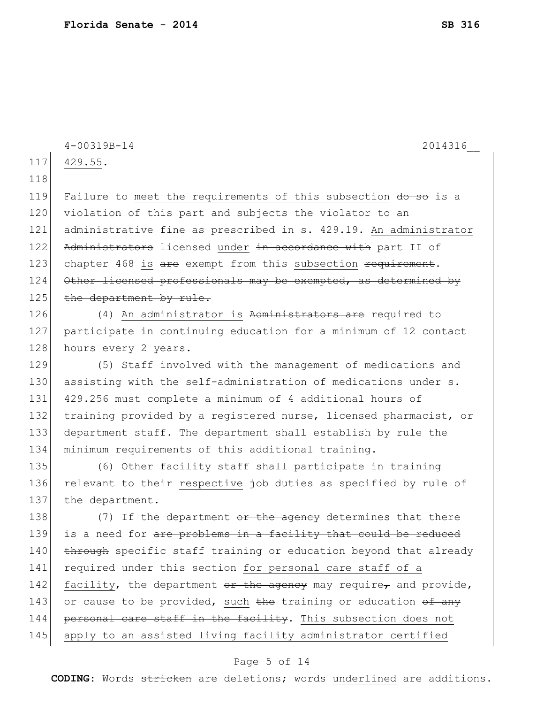|     | $4 - 00319B - 14$<br>2014316                                     |
|-----|------------------------------------------------------------------|
| 117 | 429.55.                                                          |
| 118 |                                                                  |
| 119 | Failure to meet the requirements of this subsection do so is a   |
| 120 | violation of this part and subjects the violator to an           |
| 121 | administrative fine as prescribed in s. 429.19. An administrator |
| 122 | Administrators licensed under in accordance with part II of      |
| 123 | chapter 468 is are exempt from this subsection requirement.      |
| 124 | Other licensed professionals may be exempted, as determined by   |
| 125 | the department by rule.                                          |
| 126 | (4) An administrator is Administrators are required to           |
| 127 | participate in continuing education for a minimum of 12 contact  |
| 128 | hours every 2 years.                                             |
| 129 | (5) Staff involved with the management of medications and        |
| 130 | assisting with the self-administration of medications under s.   |
| 131 | 429.256 must complete a minimum of 4 additional hours of         |
| 132 | training provided by a registered nurse, licensed pharmacist, or |
| 133 | department staff. The department shall establish by rule the     |
| 134 | minimum requirements of this additional training.                |
| 135 | (6) Other facility staff shall participate in training           |
| 136 | relevant to their respective job duties as specified by rule of  |
| 137 | the department.                                                  |
| 138 | (7) If the department or the agency determines that there        |
| 139 | is a need for are problems in a facility that could be reduced   |
| 140 | through specific staff training or education beyond that already |
| 141 | required under this section for personal care staff of a         |
| 142 | facility, the department or the agency may require, and provide, |
| 143 | or cause to be provided, such the training or education of any   |
| 144 | personal care staff in the facility. This subsection does not    |
| 145 | apply to an assisted living facility administrator certified     |
|     |                                                                  |

# Page 5 of 14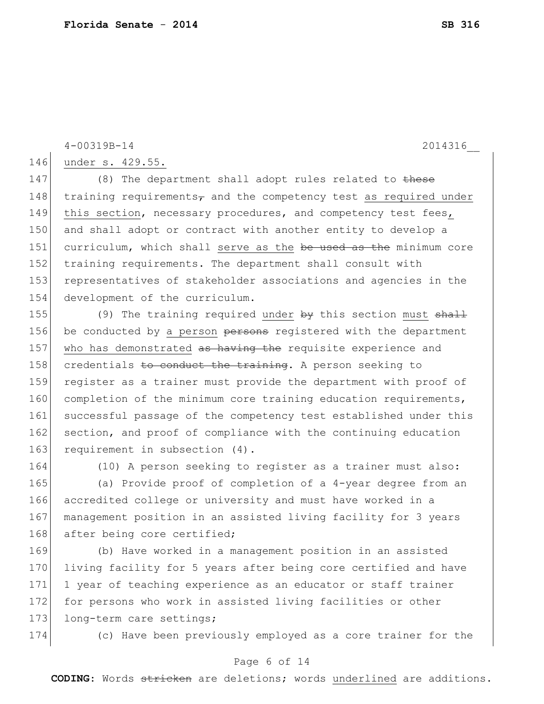4-00319B-14 2014316\_\_

146 under s. 429.55.

147 (8) The department shall adopt rules related to these 148 training requirements $\tau$  and the competency test as required under 149 this section, necessary procedures, and competency test fees, 150 and shall adopt or contract with another entity to develop a 151 curriculum, which shall serve as the be used as the minimum core 152 training requirements. The department shall consult with 153 representatives of stakeholder associations and agencies in the 154 development of the curriculum.

155 (9) The training required under by this section must shall 156 be conducted by a person persons registered with the department 157 who has demonstrated as having the requisite experience and 158 credentials to conduct the training. A person seeking to 159 register as a trainer must provide the department with proof of 160 completion of the minimum core training education requirements, 161 successful passage of the competency test established under this 162 section, and proof of compliance with the continuing education 163 requirement in subsection (4).

164 (10) A person seeking to register as a trainer must also:

 (a) Provide proof of completion of a 4-year degree from an accredited college or university and must have worked in a management position in an assisted living facility for 3 years 168 after being core certified;

169 (b) Have worked in a management position in an assisted 170 living facility for 5 years after being core certified and have 171 1 year of teaching experience as an educator or staff trainer 172 for persons who work in assisted living facilities or other 173 long-term care settings;

174 (c) Have been previously employed as a core trainer for the

### Page 6 of 14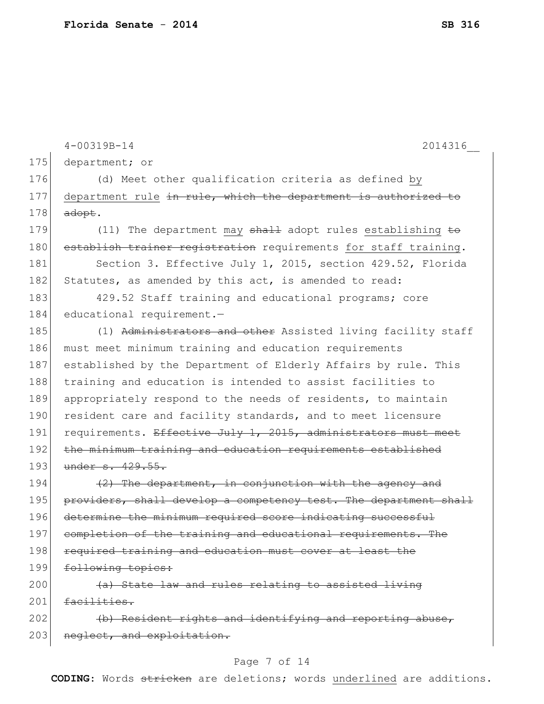|     | $4 - 00319B - 14$<br>2014316                                          |
|-----|-----------------------------------------------------------------------|
| 175 | department; or                                                        |
| 176 | (d) Meet other qualification criteria as defined by                   |
| 177 | department rule in rule, which the department is authorized to        |
| 178 | adopt.                                                                |
| 179 | (11) The department may $shall$ adopt rules establishing $\pm \sigma$ |
| 180 | establish trainer registration requirements for staff training.       |
| 181 | Section 3. Effective July 1, 2015, section 429.52, Florida            |
| 182 | Statutes, as amended by this act, is amended to read:                 |
| 183 | 429.52 Staff training and educational programs; core                  |
| 184 | educational requirement.-                                             |
| 185 | (1) Administrators and other Assisted living facility staff           |
| 186 | must meet minimum training and education requirements                 |
| 187 | established by the Department of Elderly Affairs by rule. This        |
| 188 | training and education is intended to assist facilities to            |
| 189 | appropriately respond to the needs of residents, to maintain          |
| 190 | resident care and facility standards, and to meet licensure           |
| 191 | requirements. Effective July 1, 2015, administrators must meet        |
| 192 | the minimum training and education requirements established           |
| 193 | under s. 429.55.                                                      |
| 194 | (2) The department, in conjunction with the agency and                |
| 195 | providers, shall develop a competency test. The department shall      |
| 196 | determine the minimum required score indicating successful            |
| 197 | completion of the training and educational requirements. The          |
| 198 | required training and education must cover at least the               |
| 199 | following topics:                                                     |
| 200 | (a) State law and rules relating to assisted living                   |
| 201 | facilities.                                                           |
| 202 | (b) Resident rights and identifying and reporting abuse,              |
| 203 | neglect, and exploitation.                                            |

# Page 7 of 14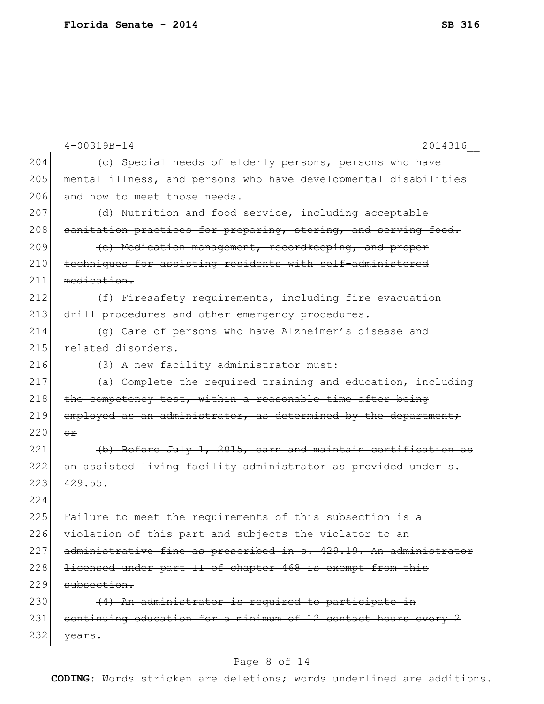|     | $4 - 00319B - 14$<br>2014316                                     |
|-----|------------------------------------------------------------------|
| 204 | (c) Special needs of elderly persons, persons who have           |
| 205 | mental illness, and persons who have developmental disabilities  |
| 206 | and how to meet those needs.                                     |
| 207 | (d) Nutrition and food service, including acceptable             |
| 208 | sanitation practices for preparing, storing, and serving food.   |
| 209 | (e) Medication management, recordkeeping, and proper             |
| 210 | techniques for assisting residents with self-administered        |
| 211 | medication.                                                      |
| 212 | (f) Firesafety requirements, including fire evacuation           |
| 213 | drill procedures and other emergency procedures.                 |
| 214 | (g) Care of persons who have Alzheimer's disease and             |
| 215 | related disorders.                                               |
| 216 | (3) A new facility administrator must:                           |
| 217 | (a) Complete the required training and education, including      |
| 218 | the competency test, within a reasonable time after being        |
| 219 | employed as an administrator, as determined by the department;   |
| 220 | $\Theta$ $\mathbf{r}$                                            |
| 221 | (b) Before July 1, 2015, earn and maintain certification as      |
| 222 | an assisted living facility administrator as provided under s.   |
| 223 | 429.55.                                                          |
| 224 |                                                                  |
| 225 | Failure to meet the requirements of this subsection is a         |
| 226 | violation of this part and subjects the violator to an           |
| 227 | administrative fine as prescribed in s. 429.19. An administrator |
| 228 | licensed under part II of chapter 468 is exempt from this        |
| 229 | subsection.                                                      |
| 230 | (4) An administrator is required to participate in               |
| 231 | continuing education for a minimum of 12 contact hours every 2   |
| 232 | vears.                                                           |

# Page 8 of 14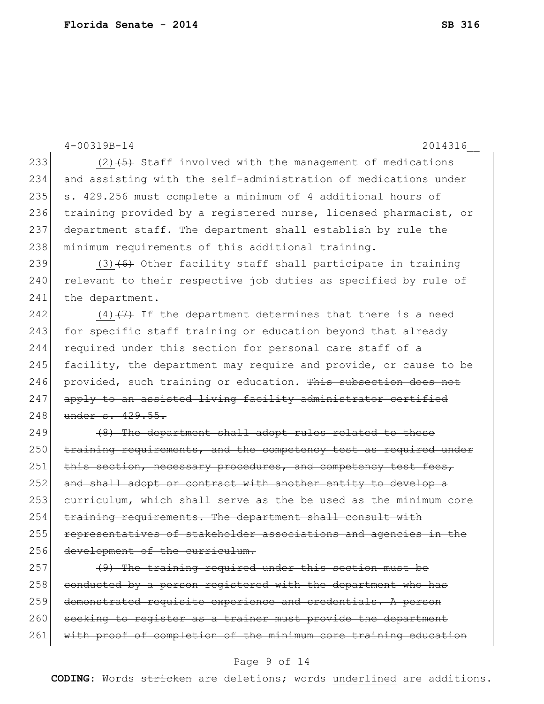```
4-00319B-14 2014316__
233 (2)(2) (3) Staff involved with the management of medications
234 and assisting with the self-administration of medications under 
235 \vert s. 429.256 must complete a minimum of 4 additional hours of
236 training provided by a registered nurse, licensed pharmacist, or
237 department staff. The department shall establish by rule the 
238 minimum requirements of this additional training.
239 (3) (6) Other facility staff shall participate in training
240 relevant to their respective job duties as specified by rule of
241 the department.
242 (4) (7) If the department determines that there is a need
243 for specific staff training or education beyond that already
244 required under this section for personal care staff of a
245 facility, the department may require and provide, or cause to be
246 provided, such training or education. This subsection does not
247 apply to an assisted living facility administrator certified
248 under s. 429.55.
249 (8) The department shall adopt rules related to these
250 training requirements, and the competency test as required under
251 this section, necessary procedures, and competency test fees,
252 and shall adopt or contract with another entity to develop a
253 curriculum, which shall serve as the be used as the minimum core 
254 training requirements. The department shall consult with
255 representatives of stakeholder associations and agencies in the
256 development of the curriculum.
257 (9) The training required under this section must be
258 conducted by a person registered with the department who has
259 demonstrated requisite experience and credentials. A person
```
260 seeking to register as a trainer must provide the department 261 with proof of completion of the minimum core training education

### Page 9 of 14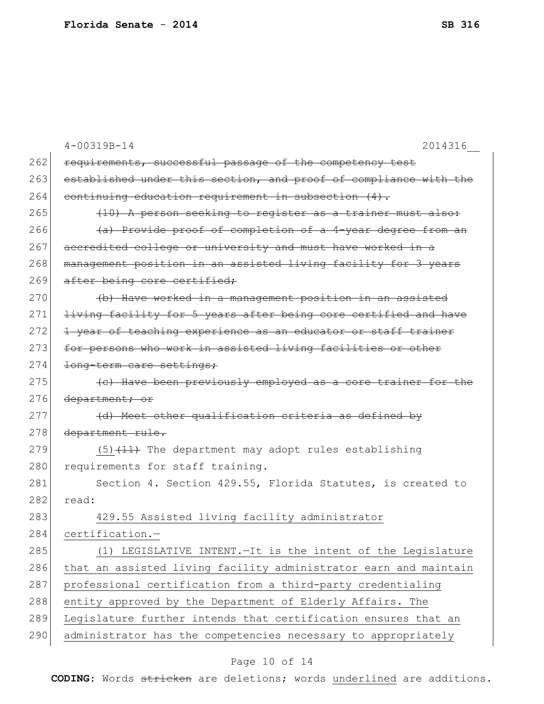|     | $4 - 00319B - 14$<br>2014316                                     |
|-----|------------------------------------------------------------------|
| 262 | requirements, successful passage of the competency test          |
| 263 | established under this section, and proof of compliance with the |
| 264 | continuing education requirement in subsection (4).              |
| 265 | (10) A person seeking to register as a trainer must also:        |
| 266 | (a) Provide proof of completion of a 4-year degree from an       |
| 267 | accredited college or university and must have worked in a       |
| 268 | management position in an assisted living facility for 3 years   |
| 269 | after being core certified;                                      |
| 270 | (b) Have worked in a management position in an assisted          |
| 271 | living facility for 5 years after being core certified and have  |
| 272 | 1 year of teaching experience as an educator or staff trainer    |
| 273 | for persons who work in assisted living facilities or other      |
| 274 | long-term care settings;                                         |
| 275 | (c) Have been previously employed as a core trainer for the      |
| 276 | department; or                                                   |
| 277 | (d) Meet other qualification criteria as defined by              |
| 278 | department rule.                                                 |
| 279 | $(5)$ $(11)$ The department may adopt rules establishing         |
| 280 | requirements for staff training.                                 |
| 281 | Section 4. Section 429.55, Florida Statutes, is created to       |
| 282 | read:                                                            |
| 283 | 429.55 Assisted living facility administrator                    |
| 284 | certification.-                                                  |
| 285 | (1) LEGISLATIVE INTENT. - It is the intent of the Legislature    |
| 286 | that an assisted living facility administrator earn and maintain |
| 287 | professional certification from a third-party credentialing      |
| 288 | entity approved by the Department of Elderly Affairs. The        |
| 289 | Legislature further intends that certification ensures that an   |
| 290 | administrator has the competencies necessary to appropriately    |

# Page 10 of 14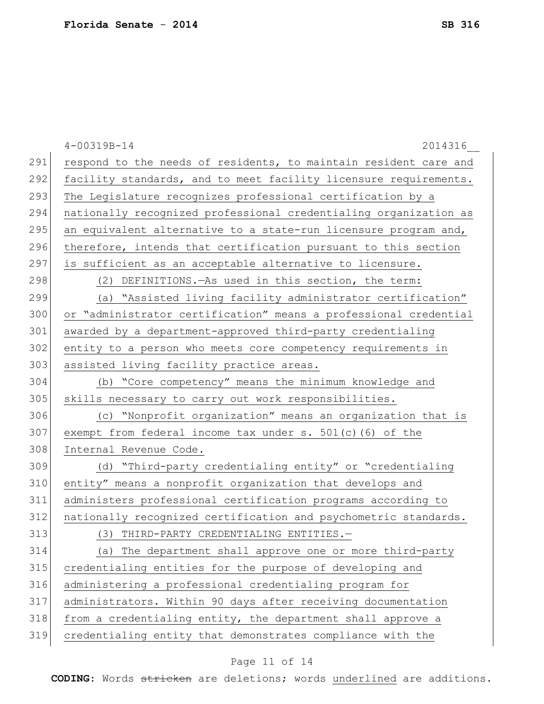|     | $4 - 00319B - 14$<br>2014316                                     |
|-----|------------------------------------------------------------------|
| 291 | respond to the needs of residents, to maintain resident care and |
| 292 | facility standards, and to meet facility licensure requirements. |
| 293 | The Legislature recognizes professional certification by a       |
| 294 | nationally recognized professional credentialing organization as |
| 295 | an equivalent alternative to a state-run licensure program and,  |
| 296 | therefore, intends that certification pursuant to this section   |
| 297 | is sufficient as an acceptable alternative to licensure.         |
| 298 | (2) DEFINITIONS. As used in this section, the term:              |
| 299 | (a) "Assisted living facility administrator certification"       |
| 300 | or "administrator certification" means a professional credential |
| 301 | awarded by a department-approved third-party credentialing       |
| 302 | entity to a person who meets core competency requirements in     |
| 303 | assisted living facility practice areas.                         |
| 304 | (b) "Core competency" means the minimum knowledge and            |
| 305 | skills necessary to carry out work responsibilities.             |
| 306 | (c) "Nonprofit organization" means an organization that is       |
| 307 | exempt from federal income tax under $s. 501(c)$ (6) of the      |
| 308 | Internal Revenue Code.                                           |
| 309 | (d) "Third-party credentialing entity" or "credentialing         |
| 310 | entity" means a nonprofit organization that develops and         |
| 311 | administers professional certification programs according to     |
| 312 | nationally recognized certification and psychometric standards.  |
| 313 | (3) THIRD-PARTY CREDENTIALING ENTITIES.-                         |
| 314 | (a) The department shall approve one or more third-party         |
| 315 | credentialing entities for the purpose of developing and         |
| 316 | administering a professional credentialing program for           |
| 317 | administrators. Within 90 days after receiving documentation     |
| 318 | from a credentialing entity, the department shall approve a      |
| 319 | credentialing entity that demonstrates compliance with the       |

# Page 11 of 14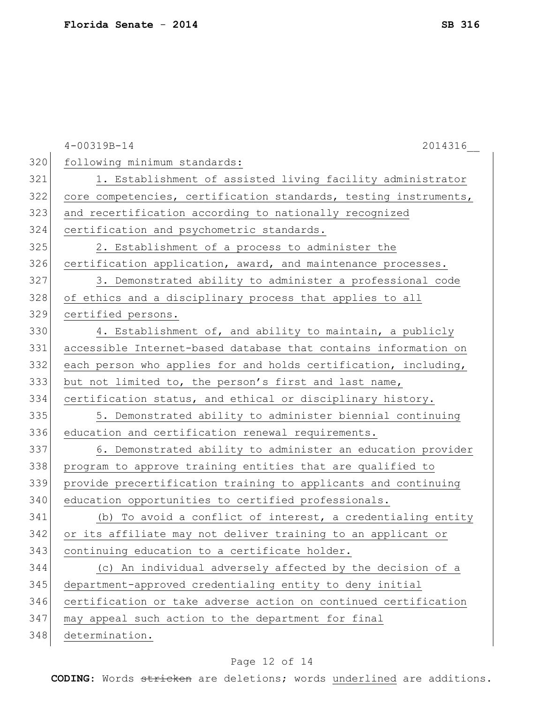|     | $4 - 00319B - 14$<br>2014316                                     |
|-----|------------------------------------------------------------------|
| 320 | following minimum standards:                                     |
| 321 | 1. Establishment of assisted living facility administrator       |
| 322 | core competencies, certification standards, testing instruments, |
| 323 | and recertification according to nationally recognized           |
| 324 | certification and psychometric standards.                        |
| 325 | 2. Establishment of a process to administer the                  |
| 326 | certification application, award, and maintenance processes.     |
| 327 | 3. Demonstrated ability to administer a professional code        |
| 328 | of ethics and a disciplinary process that applies to all         |
| 329 | certified persons.                                               |
| 330 | 4. Establishment of, and ability to maintain, a publicly         |
| 331 | accessible Internet-based database that contains information on  |
| 332 | each person who applies for and holds certification, including,  |
| 333 | but not limited to, the person's first and last name,            |
| 334 | certification status, and ethical or disciplinary history.       |
| 335 | 5. Demonstrated ability to administer biennial continuing        |
| 336 | education and certification renewal requirements.                |
| 337 | 6. Demonstrated ability to administer an education provider      |
| 338 | program to approve training entities that are qualified to       |
| 339 | provide precertification training to applicants and continuing   |
| 340 | education opportunities to certified professionals.              |
| 341 | (b) To avoid a conflict of interest, a credentialing entity      |
| 342 | or its affiliate may not deliver training to an applicant or     |
| 343 | continuing education to a certificate holder.                    |
| 344 | (c) An individual adversely affected by the decision of a        |
| 345 | department-approved credentialing entity to deny initial         |
| 346 | certification or take adverse action on continued certification  |
| 347 | may appeal such action to the department for final               |
| 348 | determination.                                                   |

# Page 12 of 14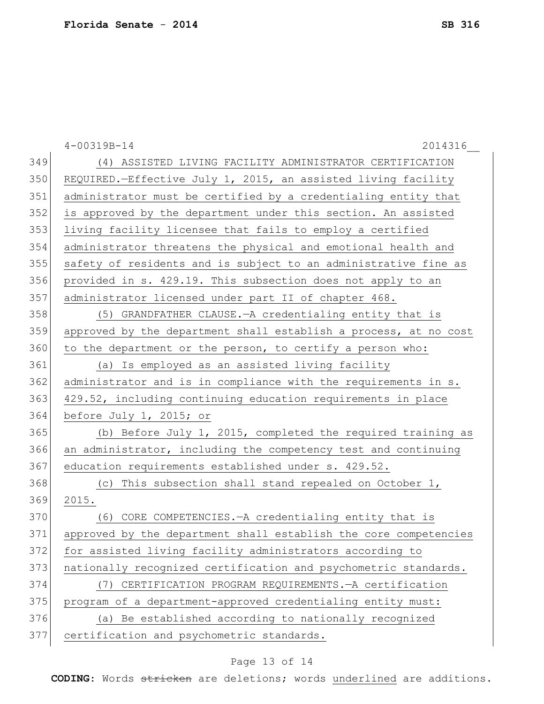|     | $4 - 00319B - 14$<br>2014316                                     |
|-----|------------------------------------------------------------------|
| 349 | (4) ASSISTED LIVING FACILITY ADMINISTRATOR CERTIFICATION         |
| 350 | REQUIRED.-Effective July 1, 2015, an assisted living facility    |
| 351 | administrator must be certified by a credentialing entity that   |
| 352 | is approved by the department under this section. An assisted    |
| 353 | living facility licensee that fails to employ a certified        |
| 354 | administrator threatens the physical and emotional health and    |
| 355 | safety of residents and is subject to an administrative fine as  |
| 356 | provided in s. 429.19. This subsection does not apply to an      |
| 357 | administrator licensed under part II of chapter 468.             |
| 358 | (5) GRANDFATHER CLAUSE. - A credentialing entity that is         |
| 359 | approved by the department shall establish a process, at no cost |
| 360 | to the department or the person, to certify a person who:        |
| 361 | (a) Is employed as an assisted living facility                   |
| 362 | administrator and is in compliance with the requirements in s.   |
| 363 | 429.52, including continuing education requirements in place     |
| 364 | before July 1, 2015; or                                          |
| 365 | (b) Before July 1, 2015, completed the required training as      |
| 366 | an administrator, including the competency test and continuing   |
| 367 | education requirements established under s. 429.52.              |
| 368 | (c) This subsection shall stand repealed on October 1,           |
| 369 | 2015.                                                            |
| 370 | (6) CORE COMPETENCIES. - A credentialing entity that is          |
| 371 | approved by the department shall establish the core competencies |
| 372 | for assisted living facility administrators according to         |
| 373 | nationally recognized certification and psychometric standards.  |
| 374 | (7) CERTIFICATION PROGRAM REQUIREMENTS. - A certification        |
| 375 | program of a department-approved credentialing entity must:      |
| 376 | (a) Be established according to nationally recognized            |
| 377 | certification and psychometric standards.                        |

# Page 13 of 14